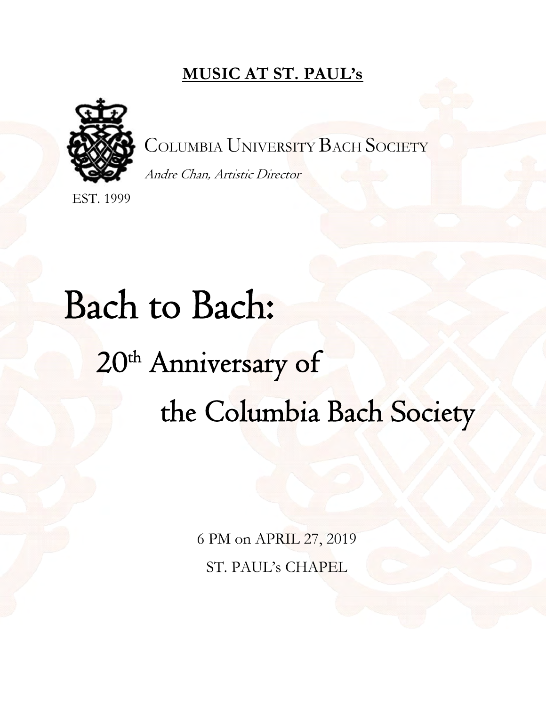## **MUSIC AT ST. PAUL's**



COLUMBIA UNIVERSITY BACH SOCIETY

Andre Chan, Artistic Director

EST. 1999

# Bach to Bach: 20<sup>th</sup> Anniversary of the Columbia Bach Society

6 PM on APRIL 27, 2019 ST. PAUL's CHAPEL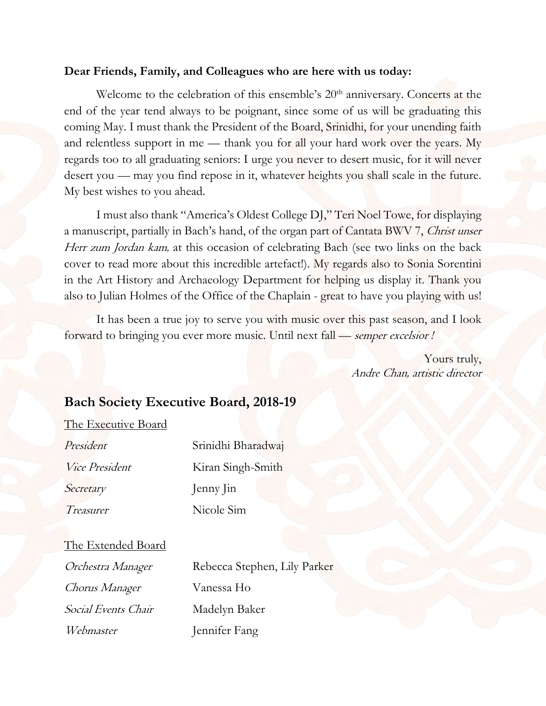#### **Dear Friends, Family, and Colleagues who are here with us today:**

Welcome to the celebration of this ensemble's 20<sup>th</sup> anniversary. Concerts at the end of the year tend always to be poignant, since some of us will be graduating this coming May. I must thank the President of the Board, Srinidhi, for your unending faith and relentless support in me — thank you for all your hard work over the years. My regards too to all graduating seniors: I urge you never to desert music, for it will never desert you — may you find repose in it, whatever heights you shall scale in the future. My best wishes to you ahead.

 I must also thank "America's Oldest College DJ," Teri Noel Towe, for displaying a manuscript, partially in Bach's hand, of the organ part of Cantata BWV 7, Christ unser Herr zum Jordan kam, at this occasion of celebrating Bach (see two links on the back cover to read more about this incredible artefact!). My regards also to Sonia Sorentini in the Art History and Archaeology Department for helping us display it. Thank you also to Julian Holmes of the Office of the Chaplain - great to have you playing with us!

It has been a true joy to serve you with music over this past season, and I look forward to bringing you ever more music. Until next fall — semper excelsior *!*

> Yours truly, Andre Chan, artistic director

#### **Bach Society Executive Board, 2018-19**

The Executive Board

| President      | Srinidhi Bharadwaj<br>Kiran Singh-Smith |  |
|----------------|-----------------------------------------|--|
| Vice President |                                         |  |
| Secretary      | Jenny Jin                               |  |
| Treasurer      | Nicole Sim                              |  |
|                |                                         |  |

| The Extended Board |  |
|--------------------|--|
|                    |  |

| Orchestra Manager          | Rebecca Stephen, Lily Parker |
|----------------------------|------------------------------|
| <i>Chorus Manager</i>      | Vanessa Ho                   |
| <i>Social Events Chair</i> | Madelyn Baker                |
| Webmaster                  | Jennifer Fang                |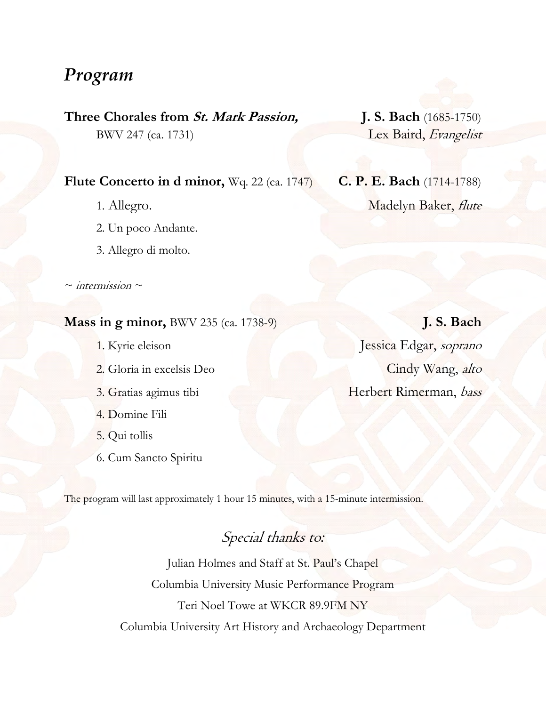## *Program*

**Three Chorales from St. Mark Passion, J. S. Bach** (1685-1750)

#### **Flute Concerto in d minor,** Wq. 22 (ca. 1747) **C. P. E. Bach** (1714-1788)

- 
- 2. Un poco Andante.
- 3. Allegro di molto.

*~* intermission *~* 

#### **Mass in g minor,** BWV 235 (ca. 1738-9) **J. S. Bach**

- 
- 
- 
- 4. Domine Fili
- 5. Qui tollis
- 6. Cum Sancto Spiritu

BWV 247 (ca. 1731) Lex Baird, Evangelist

1. Allegro. Madelyn Baker, *flute* 

1. Kyrie eleison Jessica Edgar, soprano 2. Gloria in excelsis Deo Cindy Wang, alto 3. Gratias agimus tibi Herbert Rimerman, bass

The program will last approximately 1 hour 15 minutes, with a 15-minute intermission.

## Special thanks to*:*

Julian Holmes and Staff at St. Paul's Chapel Columbia University Music Performance Program Teri Noel Towe at WKCR 89.9FM NY Columbia University Art History and Archaeology Department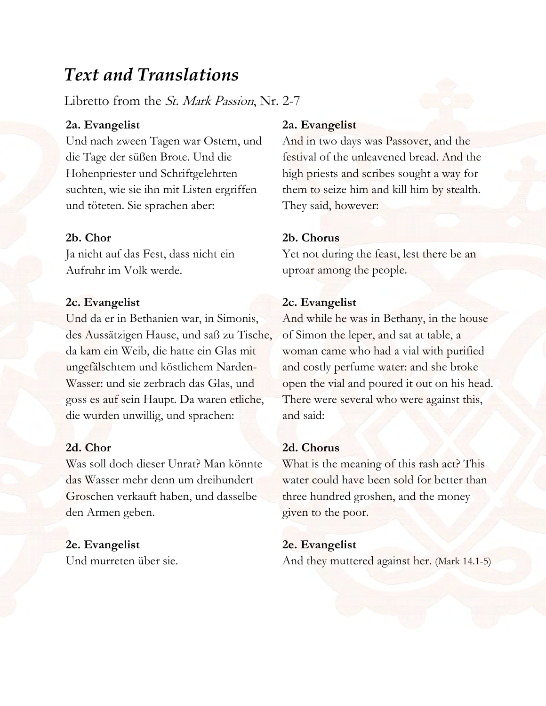## *Text and Translations*

Libretto from the St. Mark Passion, Nr. 2-7

#### **2a. Evangelist**

Und nach zween Tagen war Ostern, und die Tage der süßen Brote. Und die Hohenpriester und Schriftgelehrten suchten, wie sie ihn mit Listen ergriffen und töteten. Sie sprachen aber:

#### **2b. Chor**

Ja nicht auf das Fest, dass nicht ein Aufruhr im Volk werde.

#### **2c. Evangelist**

Und da er in Bethanien war, in Simonis, des Aussätzigen Hause, und saß zu Tische, da kam ein Weib, die hatte ein Glas mit ungefälschtem und köstlichem Narden-Wasser: und sie zerbrach das Glas, und goss es auf sein Haupt. Da waren etliche, die wurden unwillig, und sprachen:

#### **2d. Chor**

Was soll doch dieser Unrat? Man könnte das Wasser mehr denn um dreihundert Groschen verkauft haben, und dasselbe den Armen geben.

#### **2e. Evangelist**

Und murreten über sie.

#### **2a. Evangelist**

And in two days was Passover, and the festival of the unleavened bread. And the high priests and scribes sought a way for them to seize him and kill him by stealth. They said, however:

#### **2b. Chorus**

Yet not during the feast, lest there be an uproar among the people.

#### **2c. Evangelist**

And while he was in Bethany, in the house of Simon the leper, and sat at table, a woman came who had a vial with purified and costly perfume water: and she broke open the vial and poured it out on his head. There were several who were against this, and said:

#### **2d. Chorus**

What is the meaning of this rash act? This water could have been sold for better than three hundred groshen, and the money given to the poor.

#### **2e. Evangelist**

And they muttered against her. (Mark 14.1-5)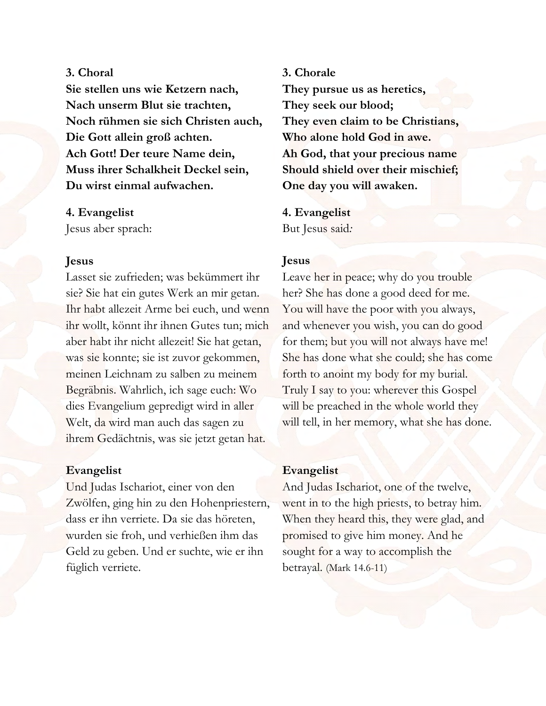#### **3. Choral**

**Sie stellen uns wie Ketzern nach, Nach unserm Blut sie trachten, Noch rühmen sie sich Christen auch, Die Gott allein groß achten. Ach Gott! Der teure Name dein, Muss ihrer Schalkheit Deckel sein, Du wirst einmal aufwachen.** 

#### **4. Evangelist**

Jesus aber sprach:

#### **Jesus**

Lasset sie zufrieden; was bekümmert ihr sie? Sie hat ein gutes Werk an mir getan. Ihr habt allezeit Arme bei euch, und wenn ihr wollt, könnt ihr ihnen Gutes tun; mich aber habt ihr nicht allezeit! Sie hat getan, was sie konnte; sie ist zuvor gekommen, meinen Leichnam zu salben zu meinem Begräbnis. Wahrlich, ich sage euch: Wo dies Evangelium gepredigt wird in aller Welt, da wird man auch das sagen zu ihrem Gedächtnis, was sie jetzt getan hat.

#### **Evangelist**

Und Judas Ischariot, einer von den Zwölfen, ging hin zu den Hohenpriestern, dass er ihn verriete. Da sie das höreten, wurden sie froh, und verhießen ihm das Geld zu geben. Und er suchte, wie er ihn füglich verriete.

**3. Chorale They pursue us as heretics, They seek our blood; They even claim to be Christians, Who alone hold God in awe. Ah God, that your precious name Should shield over their mischief; One day you will awaken.** 

**4. Evangelist** But Jesus said*:*

#### **Jesus**

Leave her in peace; why do you trouble her? She has done a good deed for me. You will have the poor with you always, and whenever you wish, you can do good for them; but you will not always have me! She has done what she could; she has come forth to anoint my body for my burial. Truly I say to you: wherever this Gospel will be preached in the whole world they will tell, in her memory, what she has done.

#### **Evangelist**

And Judas Ischariot, one of the twelve, went in to the high priests, to betray him. When they heard this, they were glad, and promised to give him money. And he sought for a way to accomplish the betrayal. (Mark 14.6-11)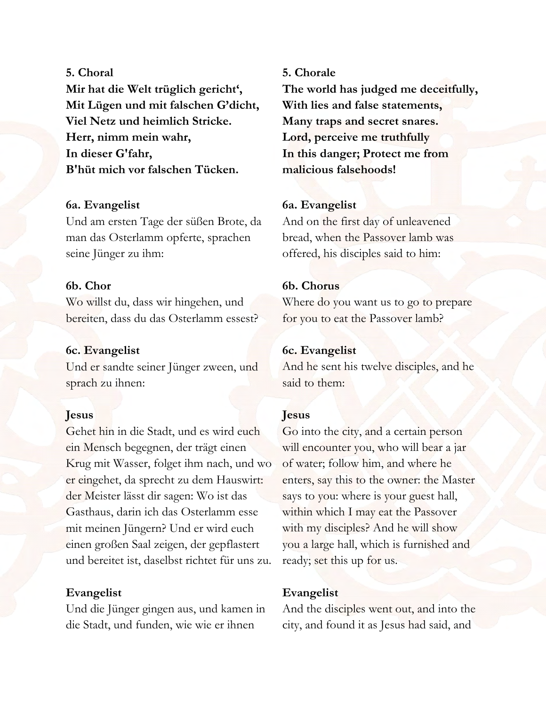#### **5. Choral**

**Mir hat die Welt trüglich gericht', Mit Lügen und mit falschen G'dicht, Viel Netz und heimlich Stricke. Herr, nimm mein wahr, In dieser G'fahr, B'hüt mich vor falschen Tücken.** 

#### **6a. Evangelist**

Und am ersten Tage der süßen Brote, da man das Osterlamm opferte, sprachen seine Jünger zu ihm:

#### **6b. Chor**

Wo willst du, dass wir hingehen, und bereiten, dass du das Osterlamm essest?

#### **6c. Evangelist**

Und er sandte seiner Jünger zween, und sprach zu ihnen:

#### **Jesus**

Gehet hin in die Stadt, und es wird euch ein Mensch begegnen, der trägt einen Krug mit Wasser, folget ihm nach, und wo er eingehet, da sprecht zu dem Hauswirt: der Meister lässt dir sagen: Wo ist das Gasthaus, darin ich das Osterlamm esse mit meinen Jüngern? Und er wird euch einen großen Saal zeigen, der gepflastert und bereitet ist, daselbst richtet für uns zu.

#### **Evangelist**

Und die Jünger gingen aus, und kamen in die Stadt, und funden, wie wie er ihnen

#### **5. Chorale**

**The world has judged me deceitfully, With lies and false statements, Many traps and secret snares. Lord, perceive me truthfully In this danger; Protect me from malicious falsehoods!** 

#### **6a. Evangelist**

And on the first day of unleavened bread, when the Passover lamb was offered, his disciples said to him:

#### **6b. Chorus**

Where do you want us to go to prepare for you to eat the Passover lamb?

#### **6c. Evangelist**

And he sent his twelve disciples, and he said to them:

#### **Jesus**

Go into the city, and a certain person will encounter you, who will bear a jar of water; follow him, and where he enters, say this to the owner: the Master says to you: where is your guest hall, within which I may eat the Passover with my disciples? And he will show you a large hall, which is furnished and ready; set this up for us.

#### **Evangelist**

And the disciples went out, and into the city, and found it as Jesus had said, and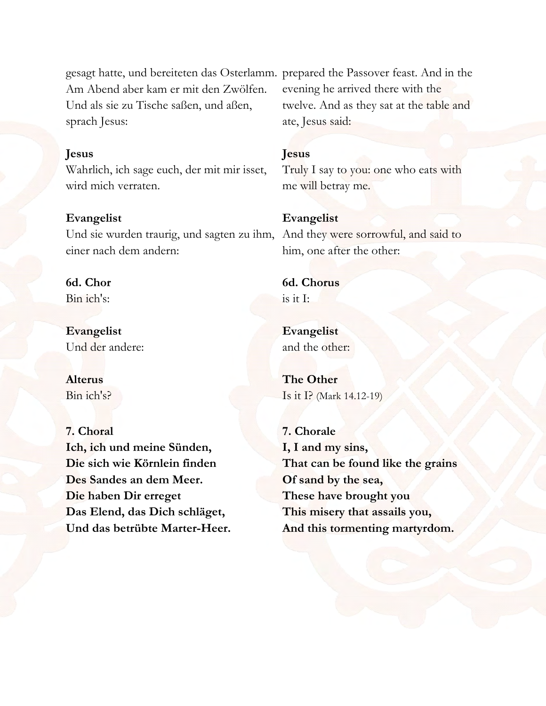gesagt hatte, und bereiteten das Osterlamm. prepared the Passover feast. And in the Am Abend aber kam er mit den Zwölfen. Und als sie zu Tische saßen, und aßen, sprach Jesus:

#### **Jesus**

Wahrlich, ich sage euch, der mit mir isset, wird mich verraten.

#### **Evangelist**

Und sie wurden traurig, und sagten zu ihm, And they were sorrowful, and said to einer nach dem andern:

#### **6d. Chor**

Bin ich's:

**Evangelist**  Und der andere:

**Alterus** Bin ich's?

#### **7. Choral**

**Ich, ich und meine Sünden, Die sich wie Körnlein finden Des Sandes an dem Meer. Die haben Dir erreget Das Elend, das Dich schläget, Und das betrübte Marter-Heer.**  evening he arrived there with the twelve. And as they sat at the table and ate, Jesus said:

#### **Jesus**

Truly I say to you: one who eats with me will betray me.

#### **Evangelist**

him, one after the other:

**6d. Chorus** is it I:

**Evangelist** and the other:

**The Other** Is it I? (Mark 14.12-19)

**7. Chorale I, I and my sins, That can be found like the grains Of sand by the sea, These have brought you This misery that assails you, And this tormenting martyrdom.**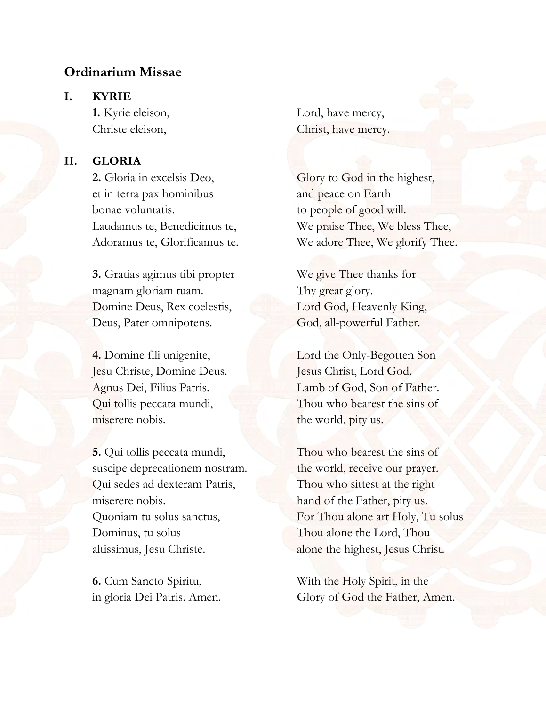#### **Ordinarium Missae**

#### **I. KYRIE**

#### **II. GLORIA**

 et in terra pax hominibus and peace on Earth bonae voluntatis. to people of good will.

**3.** Gratias agimus tibi propter We give Thee thanks for magnam gloriam tuam. Thy great glory. Domine Deus, Rex coelestis, Lord God, Heavenly King, Deus, Pater omnipotens. God, all-powerful Father.

 Jesu Christe, Domine Deus. Jesus Christ, Lord God. miserere nobis. the world, pity us.

**5.** Qui tollis peccata mundi, Thou who bearest the sins of suscipe deprecationem nostram. the world, receive our prayer. Qui sedes ad dexteram Patris, Thou who sittest at the right miserere nobis. hand of the Father, pity us. Dominus, tu solus Thou alone the Lord, Thou

**1.** Kyrie eleison, Lord, have mercy, Christe eleison, Christ, have mercy.

**2.** Gloria in excelsis Deo, Glory to God in the highest, Laudamus te, Benedicimus te, We praise Thee, We bless Thee, Adoramus te, Glorificamus te. We adore Thee, We glorify Thee.

**4.** Domine fili unigenite, Lord the Only-Begotten Son Agnus Dei, Filius Patris. Lamb of God, Son of Father. Qui tollis peccata mundi, Thou who bearest the sins of

Quoniam tu solus sanctus, For Thou alone art Holy, Tu solus altissimus, Jesu Christe. **alone the highest**, Jesus Christ.

**6.** Cum Sancto Spiritu, With the Holy Spirit, in the in gloria Dei Patris. Amen. Glory of God the Father, Amen.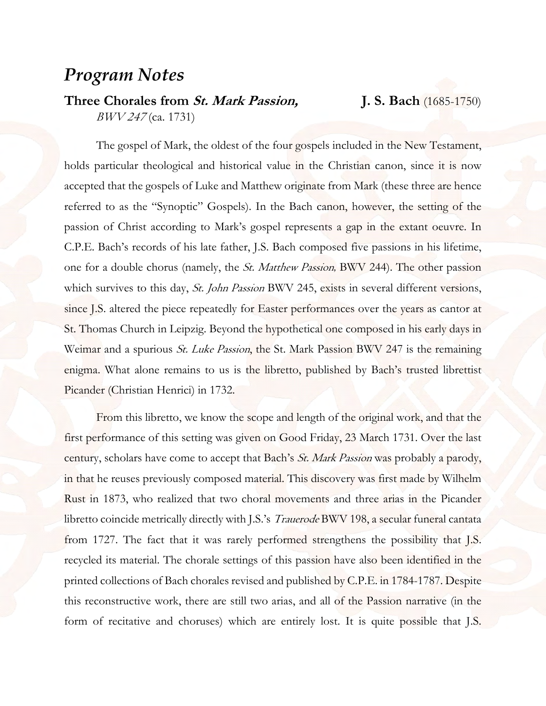## *Program Notes*

## **Three Chorales from St. Mark Passion, J. S. Bach** (1685-1750)

BWV 247 (ca. 1731)

The gospel of Mark, the oldest of the four gospels included in the New Testament, holds particular theological and historical value in the Christian canon, since it is now accepted that the gospels of Luke and Matthew originate from Mark (these three are hence referred to as the "Synoptic" Gospels). In the Bach canon, however, the setting of the passion of Christ according to Mark's gospel represents a gap in the extant oeuvre. In C.P.E. Bach's records of his late father, J.S. Bach composed five passions in his lifetime, one for a double chorus (namely, the St. Matthew Passion, BWV 244). The other passion which survives to this day, *St. John Passion* BWV 245, exists in several different versions, since J.S. altered the piece repeatedly for Easter performances over the years as cantor at St. Thomas Church in Leipzig. Beyond the hypothetical one composed in his early days in Weimar and a spurious *St. Luke Passion*, the St. Mark Passion BWV 247 is the remaining enigma. What alone remains to us is the libretto, published by Bach's trusted librettist Picander (Christian Henrici) in 1732.

 From this libretto, we know the scope and length of the original work, and that the first performance of this setting was given on Good Friday, 23 March 1731. Over the last century, scholars have come to accept that Bach's St. Mark Passion was probably a parody, in that he reuses previously composed material. This discovery was first made by Wilhelm Rust in 1873, who realized that two choral movements and three arias in the Picander libretto coincide metrically directly with J.S.'s *Trauerode* BWV 198, a secular funeral cantata from 1727. The fact that it was rarely performed strengthens the possibility that J.S. recycled its material. The chorale settings of this passion have also been identified in the printed collections of Bach chorales revised and published by C.P.E. in 1784-1787. Despite this reconstructive work, there are still two arias, and all of the Passion narrative (in the form of recitative and choruses) which are entirely lost. It is quite possible that J.S.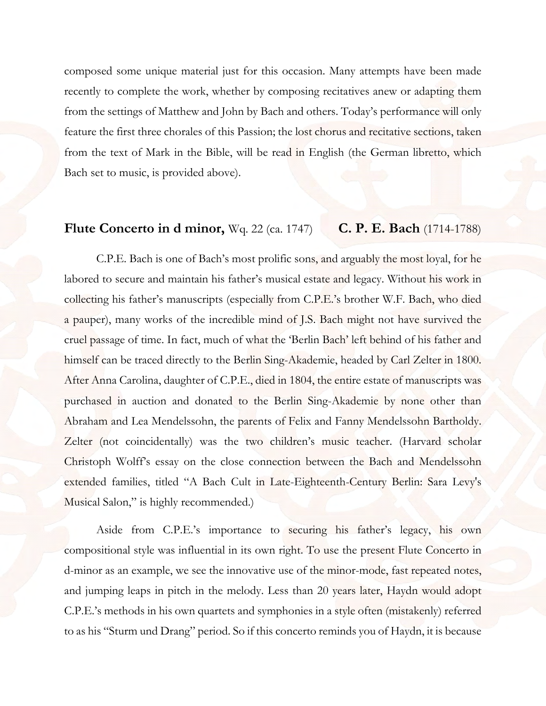composed some unique material just for this occasion. Many attempts have been made recently to complete the work, whether by composing recitatives anew or adapting them from the settings of Matthew and John by Bach and others. Today's performance will only feature the first three chorales of this Passion; the lost chorus and recitative sections, taken from the text of Mark in the Bible, will be read in English (the German libretto, which Bach set to music, is provided above).

#### **Flute Concerto in d minor,** Wq. 22 (ca. 1747) **C. P. E. Bach** (1714-1788)

C.P.E. Bach is one of Bach's most prolific sons, and arguably the most loyal, for he labored to secure and maintain his father's musical estate and legacy. Without his work in collecting his father's manuscripts (especially from C.P.E.'s brother W.F. Bach, who died a pauper), many works of the incredible mind of J.S. Bach might not have survived the cruel passage of time. In fact, much of what the 'Berlin Bach' left behind of his father and himself can be traced directly to the Berlin Sing-Akademie, headed by Carl Zelter in 1800. After Anna Carolina, daughter of C.P.E., died in 1804, the entire estate of manuscripts was purchased in auction and donated to the Berlin Sing-Akademie by none other than Abraham and Lea Mendelssohn, the parents of Felix and Fanny Mendelssohn Bartholdy. Zelter (not coincidentally) was the two children's music teacher. (Harvard scholar Christoph Wolff's essay on the close connection between the Bach and Mendelssohn extended families, titled "A Bach Cult in Late-Eighteenth-Century Berlin: Sara Levy's Musical Salon," is highly recommended.)

 Aside from C.P.E.'s importance to securing his father's legacy, his own compositional style was influential in its own right. To use the present Flute Concerto in d-minor as an example, we see the innovative use of the minor-mode, fast repeated notes, and jumping leaps in pitch in the melody. Less than 20 years later, Haydn would adopt C.P.E.'s methods in his own quartets and symphonies in a style often (mistakenly) referred to as his "Sturm und Drang" period. So if this concerto reminds you of Haydn, it is because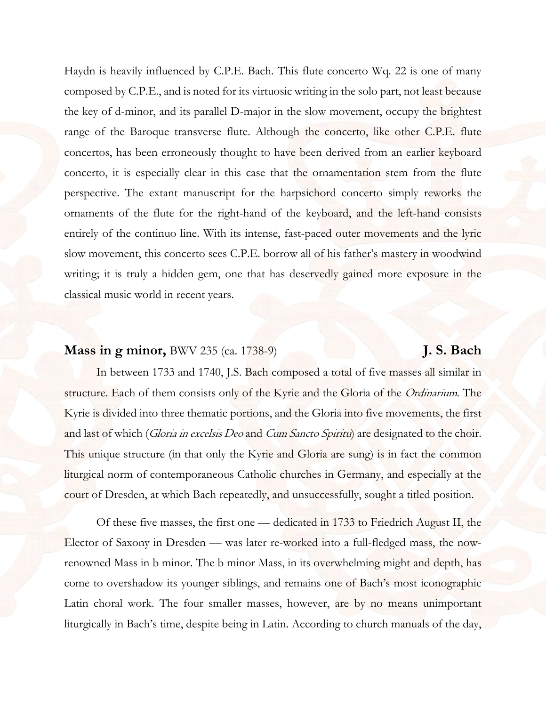Haydn is heavily influenced by C.P.E. Bach. This flute concerto Wq. 22 is one of many composed by C.P.E., and is noted for its virtuosic writing in the solo part, not least because the key of d-minor, and its parallel D-major in the slow movement, occupy the brightest range of the Baroque transverse flute. Although the concerto, like other C.P.E. flute concertos, has been erroneously thought to have been derived from an earlier keyboard concerto, it is especially clear in this case that the ornamentation stem from the flute perspective. The extant manuscript for the harpsichord concerto simply reworks the ornaments of the flute for the right-hand of the keyboard, and the left-hand consists entirely of the continuo line. With its intense, fast-paced outer movements and the lyric slow movement, this concerto sees C.P.E. borrow all of his father's mastery in woodwind writing; it is truly a hidden gem, one that has deservedly gained more exposure in the classical music world in recent years.

#### **Mass in g minor,** BWV 235 (ca. 1738-9) **J. S. Bach**

In between 1733 and 1740, J.S. Bach composed a total of five masses all similar in structure. Each of them consists only of the Kyrie and the Gloria of the Ordinarium. The Kyrie is divided into three thematic portions, and the Gloria into five movements, the first and last of which (*Gloria in excelsis Deo* and *Cum Sancto Spiritu*) are designated to the choir. This unique structure (in that only the Kyrie and Gloria are sung) is in fact the common liturgical norm of contemporaneous Catholic churches in Germany, and especially at the court of Dresden, at which Bach repeatedly, and unsuccessfully, sought a titled position.

 Of these five masses, the first one — dedicated in 1733 to Friedrich August II, the Elector of Saxony in Dresden — was later re-worked into a full-fledged mass, the nowrenowned Mass in b minor. The b minor Mass, in its overwhelming might and depth, has come to overshadow its younger siblings, and remains one of Bach's most iconographic Latin choral work. The four smaller masses, however, are by no means unimportant liturgically in Bach's time, despite being in Latin. According to church manuals of the day,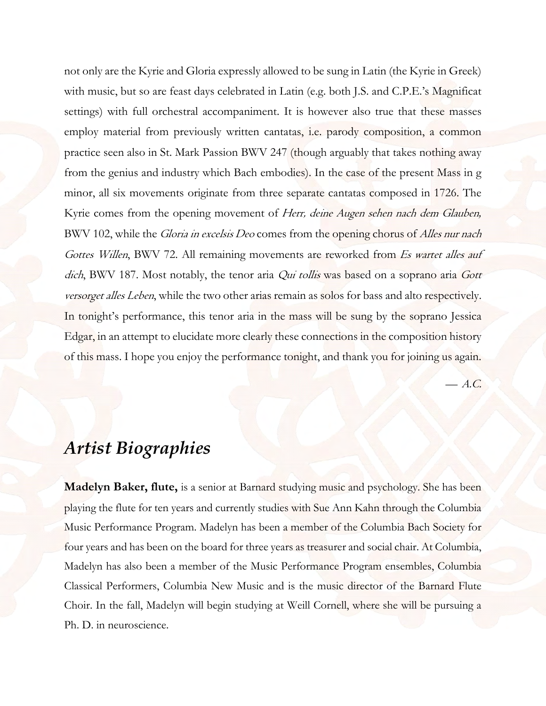not only are the Kyrie and Gloria expressly allowed to be sung in Latin (the Kyrie in Greek) with music, but so are feast days celebrated in Latin (e.g. both J.S. and C.P.E.'s Magnificat settings) with full orchestral accompaniment. It is however also true that these masses employ material from previously written cantatas, i.e. parody composition, a common practice seen also in St. Mark Passion BWV 247 (though arguably that takes nothing away from the genius and industry which Bach embodies). In the case of the present Mass in g minor, all six movements originate from three separate cantatas composed in 1726. The Kyrie comes from the opening movement of Herr, deine Augen sehen nach dem Glauben*,* BWV 102, while the *Gloria in excelsis Deo* comes from the opening chorus of *Alles nur nach* Gottes Willen, BWV 72. All remaining movements are reworked from *Es wartet alles auf* dich, BWV 187. Most notably, the tenor aria *Qui tollis* was based on a soprano aria Gott versorget alles Leben, while the two other arias remain as solos for bass and alto respectively. In tonight's performance, this tenor aria in the mass will be sung by the soprano Jessica Edgar, in an attempt to elucidate more clearly these connections in the composition history of this mass. I hope you enjoy the performance tonight, and thank you for joining us again.

 $- A.C.$ 

## *Artist Biographies*

**Madelyn Baker, flute,** is a senior at Barnard studying music and psychology. She has been playing the flute for ten years and currently studies with Sue Ann Kahn through the Columbia Music Performance Program. Madelyn has been a member of the Columbia Bach Society for four years and has been on the board for three years as treasurer and social chair. At Columbia, Madelyn has also been a member of the Music Performance Program ensembles, Columbia Classical Performers, Columbia New Music and is the music director of the Barnard Flute Choir. In the fall, Madelyn will begin studying at Weill Cornell, where she will be pursuing a Ph. D. in neuroscience.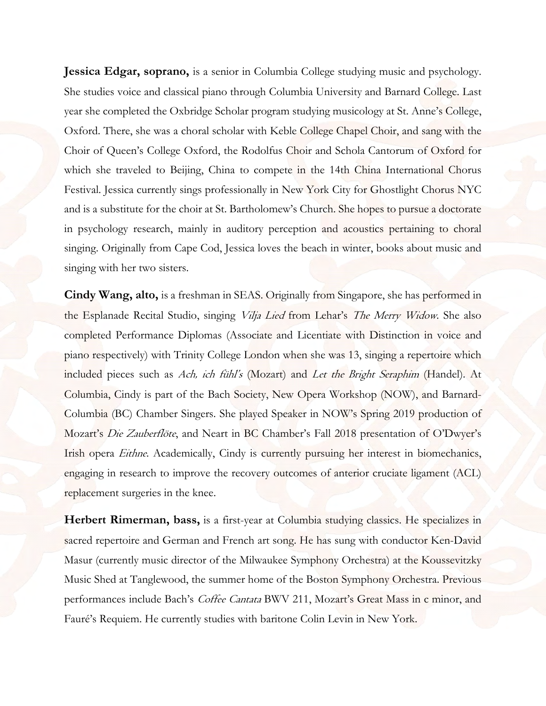**Jessica Edgar, soprano,** is a senior in Columbia College studying music and psychology. She studies voice and classical piano through Columbia University and Barnard College. Last year she completed the Oxbridge Scholar program studying musicology at St. Anne's College, Oxford. There, she was a choral scholar with Keble College Chapel Choir, and sang with the Choir of Queen's College Oxford, the Rodolfus Choir and Schola Cantorum of Oxford for which she traveled to Beijing, China to compete in the 14th China International Chorus Festival. Jessica currently sings professionally in New York City for Ghostlight Chorus NYC and is a substitute for the choir at St. Bartholomew's Church. She hopes to pursue a doctorate in psychology research, mainly in auditory perception and acoustics pertaining to choral singing. Originally from Cape Cod, Jessica loves the beach in winter, books about music and singing with her two sisters.

**Cindy Wang, alto,** is a freshman in SEAS. Originally from Singapore, she has performed in the Esplanade Recital Studio, singing Vilja Lied from Lehar's The Merry Widow. She also completed Performance Diplomas (Associate and Licentiate with Distinction in voice and piano respectively) with Trinity College London when she was 13, singing a repertoire which included pieces such as Ach, ich fühl's (Mozart) and Let the Bright Seraphim (Handel). At Columbia, Cindy is part of the Bach Society, New Opera Workshop (NOW), and Barnard-Columbia (BC) Chamber Singers. She played Speaker in NOW's Spring 2019 production of Mozart's Die Zauberflöte, and Neart in BC Chamber's Fall 2018 presentation of O'Dwyer's Irish opera *Eithne*. Academically, Cindy is currently pursuing her interest in biomechanics, engaging in research to improve the recovery outcomes of anterior cruciate ligament (ACL) replacement surgeries in the knee.

**Herbert Rimerman, bass,** is a first-year at Columbia studying classics. He specializes in sacred repertoire and German and French art song. He has sung with conductor Ken-David Masur (currently music director of the Milwaukee Symphony Orchestra) at the Koussevitzky Music Shed at Tanglewood, the summer home of the Boston Symphony Orchestra. Previous performances include Bach's Coffee Cantata BWV 211, Mozart's Great Mass in c minor, and Fauré's Requiem. He currently studies with baritone Colin Levin in New York.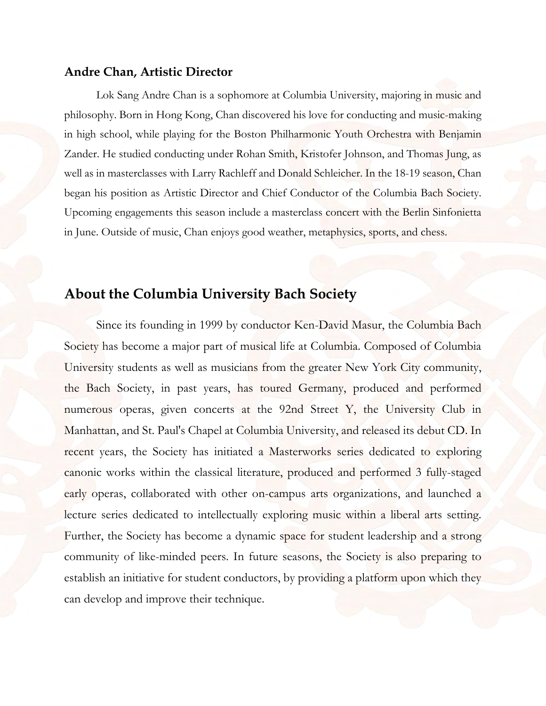#### **Andre Chan, Artistic Director**

Lok Sang Andre Chan is a sophomore at Columbia University, majoring in music and philosophy. Born in Hong Kong, Chan discovered his love for conducting and music-making in high school, while playing for the Boston Philharmonic Youth Orchestra with Benjamin Zander. He studied conducting under Rohan Smith, Kristofer Johnson, and Thomas Jung, as well as in masterclasses with Larry Rachleff and Donald Schleicher. In the 18-19 season, Chan began his position as Artistic Director and Chief Conductor of the Columbia Bach Society. Upcoming engagements this season include a masterclass concert with the Berlin Sinfonietta in June. Outside of music, Chan enjoys good weather, metaphysics, sports, and chess.

#### **About the Columbia University Bach Society**

Since its founding in 1999 by conductor Ken-David Masur, the Columbia Bach Society has become a major part of musical life at Columbia. Composed of Columbia University students as well as musicians from the greater New York City community, the Bach Society, in past years, has toured Germany, produced and performed numerous operas, given concerts at the 92nd Street Y, the University Club in Manhattan, and St. Paul's Chapel at Columbia University, and released its debut CD. In recent years, the Society has initiated a Masterworks series dedicated to exploring canonic works within the classical literature, produced and performed 3 fully-staged early operas, collaborated with other on-campus arts organizations, and launched a lecture series dedicated to intellectually exploring music within a liberal arts setting. Further, the Society has become a dynamic space for student leadership and a strong community of like-minded peers. In future seasons, the Society is also preparing to establish an initiative for student conductors, by providing a platform upon which they can develop and improve their technique.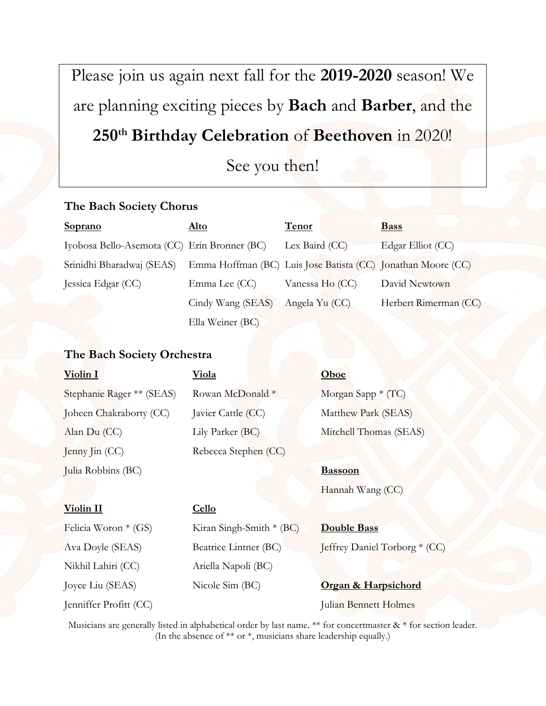Please join us again next fall for the **2019-2020** season! We are planning exciting pieces by **Bach** and **Barber**, and the **250th Birthday Celebration** of **Beethoven** in 2020!

See you then!

#### **The Bach Society Chorus**

| <b>Soprano</b>                               | <u>Alto</u>       | Tenor                                                        | <b>Bass</b>           |
|----------------------------------------------|-------------------|--------------------------------------------------------------|-----------------------|
| Iyobosa Bello-Asemota (CC) Erin Bronner (BC) |                   | Lex Baird (CC)                                               | Edgar Elliot (CC)     |
| Srinidhi Bharadwaj (SEAS)                    |                   | Emma Hoffman (BC) Luis Jose Batista (CC) Jonathan Moore (CC) |                       |
| Jessica Edgar (CC)                           | Emma Lee (CC)     | Vanessa Ho (CC)                                              | David Newtown         |
|                                              | Cindy Wang (SEAS) | Angela Yu (CC)                                               | Herbert Rimerman (CC) |
|                                              | Ella Weiner (BC)  |                                                              |                       |

#### **The Bach Society Orchestra**

Nikhil Lahiri (CC) Ariella Napoli (BC)

| Violin I                  | <u>Viola</u>              | Oboe                   |
|---------------------------|---------------------------|------------------------|
| Stephanie Rager ** (SEAS) | Rowan McDonald *          | Morgan Sapp * (TC)     |
| Joheen Chakraborty (CC)   | Javier Cattle (CC)        | Matthew Park (SEAS)    |
| Alan Du (CC)              | Lily Parker (BC)          | Mitchell Thomas (SEAS) |
| Jenny Jin (CC)            | Rebecca Stephen (CC)      |                        |
| Julia Robbins (BC)        |                           | <b>Bassoon</b>         |
|                           |                           | Hannah Wang (CC)       |
| Violin II                 | Cello                     |                        |
| Felicia Woron * (GS)      | Kiran Singh-Smith $*(BC)$ | <b>Double Bass</b>     |

Ava Doyle (SEAS) Beatrice Lintner (BC) Jeffrey Daniel Torborg \* (CC)

Joyce Liu (SEAS) Nicole Sim (BC) **Organ & Harpsichord** Jenniffer Profitt (CC) Julian Bennett Holmes

Musicians are generally listed in alphabetical order by last name. \*\* for concertmaster  $\&$  \* for section leader. (In the absence of \*\* or \*, musicians share leadership equally.)